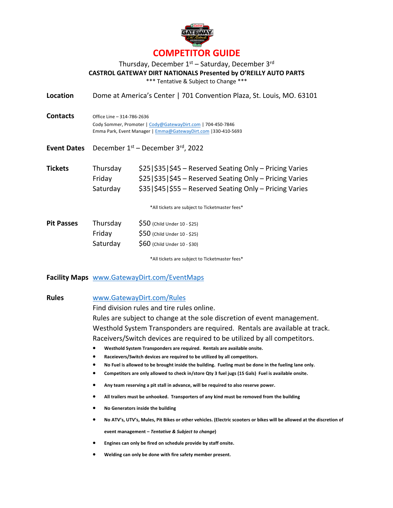

## Thursday, December  $1<sup>st</sup>$  – Saturday, December 3<sup>rd</sup> **CASTROL GATEWAY DIRT NATIONALS Presented by O'REILLY AUTO PARTS** \*\*\* Tentative & Subject to Change \*\*\*

**Location** Dome at America's Center | 701 Convention Plaza, St. Louis, MO. 63101

| <b>Contacts</b> | Office Line - 314-786-2636                                     |
|-----------------|----------------------------------------------------------------|
|                 | Cody Sommer, Promoter   Cody@GatewayDirt.com   704-450-7846    |
|                 | Emma Park, Event Manager   Emma@GatewayDirt.com   330-410-5693 |

Event Dates December 1<sup>st</sup> – December 3<sup>rd</sup>, 2022

| <b>Tickets</b> | Thursdav | $$25 $35 $45 - Reserved Setting Only - Pricing Varies$ |
|----------------|----------|--------------------------------------------------------|
|                | Fridav   | $$25 $35 $45 - Reserved Setting Only - Pricing Varies$ |
|                | Saturday | $$35 $45 $55 - Reserved Setting Only - Pricing Varies$ |

\*All tickets are subject to Ticketmaster fees\*

| <b>Pit Passes</b> | Thursday | $$50$ (Child Under 10 - \$25) |
|-------------------|----------|-------------------------------|
|                   | Friday   | $$50$ (Child Under 10 - \$25) |
|                   | Saturday | $$60$ (Child Under 10 - \$30) |

\*All tickets are subject to Ticketmaster fees\*

## **Facility Maps** www.GatewayDirt.com/EventMaps

### **Rules** www.GatewayDirt.com/Rules

Find division rules and tire rules online. Rules are subject to change at the sole discretion of event management. Westhold System Transponders are required. Rentals are available at track. Raceivers/Switch devices are required to be utilized by all competitors.

- **Westhold System Transponders are required. Rentals are available onsite.**
- **Raceievers/Switch devices are required to be utilized by all competitors.**
- **No Fuel is allowed to be brought inside the building. Fueling must be done in the fueling lane only.**
- **Competitors are only allowed to check in/store Qty 3 fuel jugs (15 Gals) Fuel is available onsite.**
- **Any team reserving a pit stall in advance, will be required to also reserve power.**
- **All trailers must be unhooked. Transporters of any kind must be removed from the building**
- **No Generators inside the building**
- **No ATV's, UTV's, Mules, Pit Bikes or other vehicles. (Electric scooters or bikes will be allowed at the discretion of event management –** *Tentative & Subject to change***)**
- **Engines can only be fired on schedule provide by staff onsite.**
- **Welding can only be done with fire safety member present.**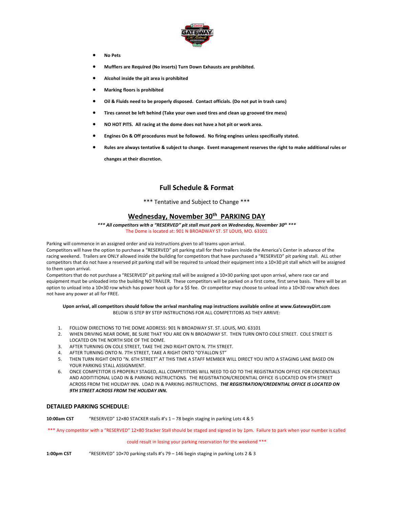

- **No Pets**
- **Mufflers are Required (No inserts) Turn Down Exhausts are prohibited.**
- **Alcohol inside the pit area is prohibited**
- **Marking floors is prohibited**
- **Oil & Fluids need to be properly disposed. Contact officials. (Do not put in trash cans)**
- **Tires cannot be left behind (Take your own used tires and clean up grooved tire mess)**
- **NO HOT PITS. All racing at the dome does not have a hot pit or work area.**
- **Engines On & Off procedures must be followed. No firing engines unless specifically stated.**
- **Rules are always tentative & subject to change. Event management reserves the right to make additional rules or changes at their discretion.**

### **Full Schedule & Format**

\*\*\* Tentative and Subject to Change \*\*\*

## **Wednesday, November 30th PARKING DAY**

*\*\*\* All competitors with a "RESERVED" pit stall must park on Wednesday, November 30th \*\*\** The Dome is located at: 901 N BROADWAY ST. ST LOUIS, MO. 63101

Parking will commence in an assigned order and via instructions given to all teams upon arrival.

Competitors will have the option to purchase a "RESERVED" pit parking stall for their trailers inside the America's Center in advance of the racing weekend. Trailers are ONLY allowed inside the building for competitors that have purchased a "RESERVED" pit parking stall. ALL other competitors that do not have a reserved pit parking stall will be required to unload their equipment into a 10×30 pit stall which will be assigned to them upon arrival.

Competitors that do not purchase a "RESERVED" pit parking stall will be assigned a 10×30 parking spot upon arrival, where race car and equipment must be unloaded into the building NO TRAILER. These competitors will be parked on a first come, first serve basis. There will be an option to unload into a 10×30 row which has power hook up for a \$\$ fee. Or competitor may choose to unload into a 10×30 row which does not have any power at all for FREE.

#### **Upon arrival, all competitors should follow the arrival marshaling map instructions available online at www.GatewayDirt.com** BELOW IS STEP BY STEP INSTRUCTIONS FOR ALL COMPETITORS AS THEY ARRIVE:

- 1. FOLLOW DIRECTIONS TO THE DOME ADDRESS: 901 N BROADWAY ST. ST. LOUIS, MO. 63101
- 2. WHEN DRIVING NEAR DOME, BE SURE THAT YOU ARE ON N BROADWAY ST. THEN TURN ONTO COLE STREET. COLE STREET IS LOCATED ON THE NORTH SIDE OF THE DOME.
- 3. AFTER TURNING ON COLE STREET, TAKE THE 2ND RIGHT ONTO N. 7TH STREET.
- 4. AFTER TURNING ONTO N. 7TH STREET, TAKE A RIGHT ONTO "O'FALLON ST"
- 5. THEN TURN RIGHT ONTO "N. 6TH STREET" AT THIS TIME A STAFF MEMBER WILL DIRECT YOU INTO A STAGING LANE BASED ON YOUR PARKING STALL ASSIGNMENT.
- 6. ONCE COMPETITOR IS PROPERLY STAGED, ALL COMPETITORS WILL NEED TO GO TO THE REGISTRATION OFFICE FOR CREDENTIALS AND ADDITITIONAL LOAD IN & PARKING INSTRUCTIONS. THE REGISTRATION/CREDENTIAL OFFICE IS LOCATED ON 9TH STREET ACROSS FROM THE HOLIDAY INN. LOAD IN & PARKING INSTRUCTIONS. *THE REGISTRATION/CREDENTIAL OFFICE IS LOCATED ON 9TH STREET ACROSS FROM THE HOLIDAY INN.*

### **DETAILED PARKING SCHEDULE:**

**10:00am CST** "RESERVED" 12×80 STACKER stalls #'s 1 – 78 begin staging in parking Lots 4 & 5

\*\*\* Any competitor with a "RESERVED" 12×80 Stacker Stall should be staged and signed in by 1pm. Failure to park when your number is called

#### could result in losing your parking reservation for the weekend \*\*\*

**1:00pm CST** "RESERVED" 10×70 parking stalls #'s 79 – 146 begin staging in parking Lots 2 & 3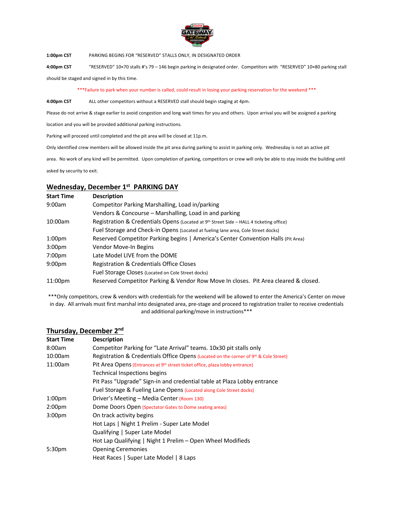

**1:00pm CST** PARKING BEGINS FOR "RESERVED" STALLS ONLY, IN DESIGNATED ORDER

**4:00pm CST** "RESERVED" 10×70 stalls #'s 79 – 146 begin parking in designated order. Competitors with "RESERVED" 10×80 parking stall

should be staged and signed in by this time.

\*\*\*Failure to park when your number is called, could result in losing your parking reservation for the weekend \*\*\*

**4:00pm CST** ALL other competitors without a RESERVED stall should begin staging at 4pm.

Please do not arrive & stage earlier to avoid congestion and long wait times for you and others. Upon arrival you will be assigned a parking

location and you will be provided additional parking instructions.

Parking will proceed until completed and the pit area will be closed at 11p.m.

Only identified crew members will be allowed inside the pit area during parking to assist in parking only. Wednesday is not an active pit

area. No work of any kind will be permitted. Upon completion of parking, competitors or crew will only be able to stay inside the building until

asked by security to exit.

## **Wednesday, December 1st PARKING DAY**

| <b>Start Time</b>   | <b>Description</b>                                                                      |
|---------------------|-----------------------------------------------------------------------------------------|
| 9:00am              | Competitor Parking Marshalling, Load in/parking                                         |
|                     | Vendors & Concourse – Marshalling, Load in and parking                                  |
| 10:00am             | Registration & Credentials Opens (Located at 9th Street Side – HALL 4 ticketing office) |
|                     | Fuel Storage and Check-in Opens (Located at fueling lane area, Cole Street docks)       |
| 1:00 <sub>pm</sub>  | Reserved Competitor Parking begins   America's Center Convention Halls (Pit Area)       |
| 3:00 <sub>pm</sub>  | Vendor Move-In Begins                                                                   |
| 7:00 <sub>pm</sub>  | Late Model LIVE from the DOME                                                           |
| 9:00 <sub>pm</sub>  | Registration & Credentials Office Closes                                                |
|                     | Fuel Storage Closes (Located on Cole Street docks)                                      |
| 11:00 <sub>pm</sub> | Reserved Competitor Parking & Vendor Row Move In closes. Pit Area cleared & closed.     |

\*\*\*Only competitors, crew & vendors with credentials for the weekend will be allowed to enter the America's Center on move in day. All arrivals must first marshal into designated area, pre-stage and proceed to registration trailer to receive credentials and additional parking/move in instructions\*\*\*

| THUISUAY, DECENINEL 4 |                                                                                          |  |
|-----------------------|------------------------------------------------------------------------------------------|--|
| Start Time            | <b>Description</b>                                                                       |  |
| 8:00am                | Competitor Parking for "Late Arrival" teams. 10x30 pit stalls only                       |  |
| 10:00am               | Registration & Credentials Office Opens (Located on the corner of 9th & Cole Street)     |  |
| 11:00am               | Pit Area Opens (Entrances at 9 <sup>th</sup> street ticket office, plaza lobby entrance) |  |
|                       | <b>Technical Inspections begins</b>                                                      |  |
|                       | Pit Pass "Upgrade" Sign-in and credential table at Plaza Lobby entrance                  |  |
|                       | Fuel Storage & Fueling Lane Opens (Located along Cole Street docks)                      |  |
| 1:00pm                | Driver's Meeting - Media Center (Room 130)                                               |  |
| 2:00pm                | Dome Doors Open (Spectator Gates to Dome seating areas)                                  |  |
| 3:00pm                | On track activity begins                                                                 |  |
|                       | Hot Laps   Night 1 Prelim - Super Late Model                                             |  |
|                       | Qualifying   Super Late Model                                                            |  |
|                       | Hot Lap Qualifying   Night 1 Prelim - Open Wheel Modifieds                               |  |
| 5:30pm                | <b>Opening Ceremonies</b>                                                                |  |
|                       | Heat Races   Super Late Model   8 Laps                                                   |  |

### **Thursday, December 2nd**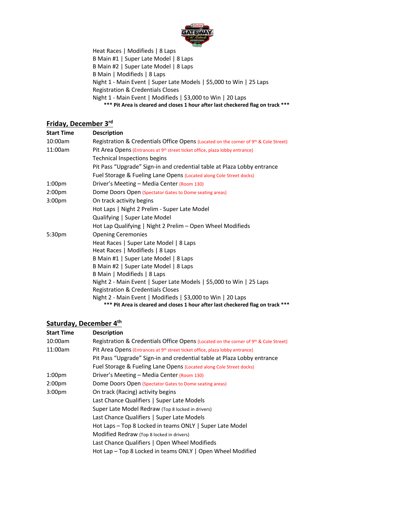

Heat Races | Modifieds | 8 Laps B Main #1 | Super Late Model | 8 Laps B Main #2 | Super Late Model | 8 Laps B Main | Modifieds | 8 Laps Night 1 - Main Event | Super Late Models | \$5,000 to Win | 25 Laps Registration & Credentials Closes Night 1 - Main Event | Modifieds | \$3,000 to Win | 20 Laps **\*\*\* Pit Area is cleared and closes 1 hour after last checkered flag on track \*\*\***

## **Friday, December 3rd**

| <b>Start Time</b>  | <b>Description</b>                                                                       |
|--------------------|------------------------------------------------------------------------------------------|
| 10:00am            | Registration & Credentials Office Opens (Located on the corner of 9th & Cole Street)     |
| 11:00am            | Pit Area Opens (Entrances at 9 <sup>th</sup> street ticket office, plaza lobby entrance) |
|                    | Technical Inspections begins                                                             |
|                    | Pit Pass "Upgrade" Sign-in and credential table at Plaza Lobby entrance                  |
|                    | Fuel Storage & Fueling Lane Opens (Located along Cole Street docks)                      |
| 1:00 <sub>pm</sub> | Driver's Meeting - Media Center (Room 130)                                               |
| 2:00 <sub>pm</sub> | Dome Doors Open (Spectator Gates to Dome seating areas)                                  |
| 3:00 <sub>pm</sub> | On track activity begins                                                                 |
|                    | Hot Laps   Night 2 Prelim - Super Late Model                                             |
|                    | Qualifying   Super Late Model                                                            |
|                    | Hot Lap Qualifying   Night 2 Prelim - Open Wheel Modifieds                               |
| 5:30 <sub>pm</sub> | <b>Opening Ceremonies</b>                                                                |
|                    | Heat Races   Super Late Model   8 Laps                                                   |
|                    | Heat Races   Modifieds   8 Laps                                                          |
|                    | B Main #1   Super Late Model   8 Laps                                                    |
|                    | B Main #2   Super Late Model   8 Laps                                                    |
|                    | B Main   Modifieds   8 Laps                                                              |
|                    | Night 2 - Main Event   Super Late Models   \$5,000 to Win   25 Laps                      |
|                    | Registration & Credentials Closes                                                        |
|                    | Night 2 - Main Event   Modifieds   \$3,000 to Win   20 Laps                              |
|                    | *** Pit Area is cleared and closes 1 hour after last checkered flag on track             |

# **Saturday, December 4th**

| <b>Start Time</b>  | <b>Description</b>                                                                       |
|--------------------|------------------------------------------------------------------------------------------|
| 10:00am            | Registration & Credentials Office Opens (Located on the corner of 9th & Cole Street)     |
| 11:00am            | Pit Area Opens (Entrances at 9 <sup>th</sup> street ticket office, plaza lobby entrance) |
|                    | Pit Pass "Upgrade" Sign-in and credential table at Plaza Lobby entrance                  |
|                    | Fuel Storage & Fueling Lane Opens (Located along Cole Street docks)                      |
| 1:00 <sub>pm</sub> | Driver's Meeting - Media Center (Room 130)                                               |
| 2:00 <sub>pm</sub> | Dome Doors Open (Spectator Gates to Dome seating areas)                                  |
| 3:00 <sub>pm</sub> | On track (Racing) activity begins                                                        |
|                    | Last Chance Qualifiers   Super Late Models                                               |
|                    | Super Late Model Redraw (Top 8 locked in drivers)                                        |
|                    | Last Chance Qualifiers   Super Late Models                                               |
|                    | Hot Laps – Top 8 Locked in teams ONLY   Super Late Model                                 |
|                    | Modified Redraw (Top 8 locked in drivers)                                                |
|                    | Last Chance Qualifiers   Open Wheel Modifieds                                            |
|                    | Hot Lap – Top 8 Locked in teams ONLY   Open Wheel Modified                               |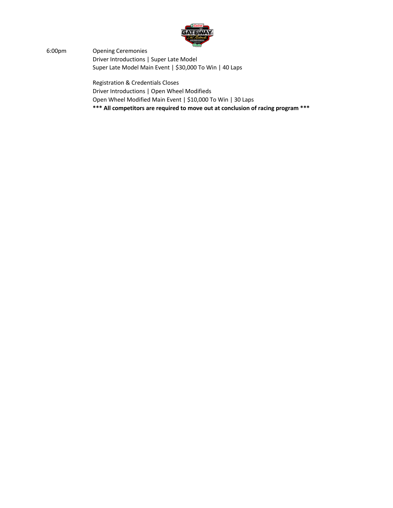

6:00pm Opening Ceremonies Driver Introductions | Super Late Model Super Late Model Main Event | \$30,000 To Win | 40 Laps

> Registration & Credentials Closes Driver Introductions | Open Wheel Modifieds Open Wheel Modified Main Event | \$10,000 To Win | 30 Laps **\*\*\* All competitors are required to move out at conclusion of racing program \*\*\***